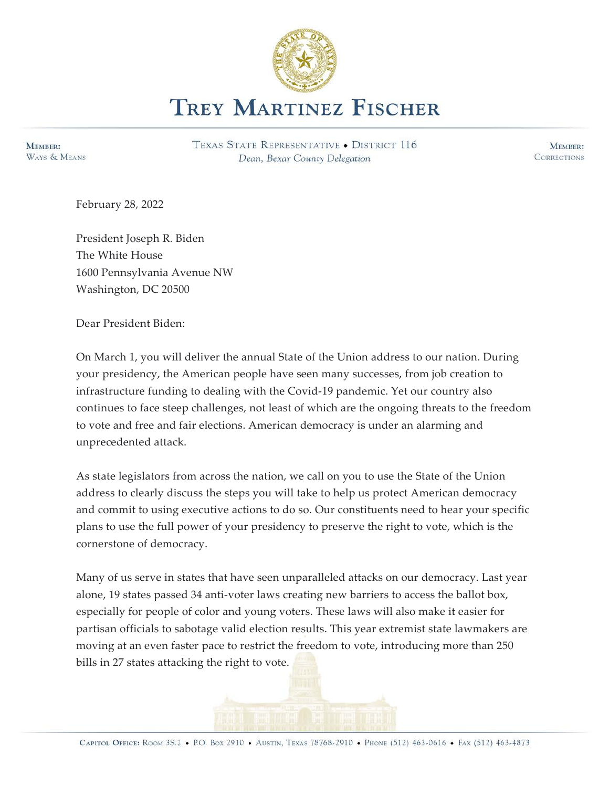

MEMBER: WAYS & MEANS TEXAS STATE REPRESENTATIVE . DISTRICT 116 Dean, Bexar County Delegation

MEMBER: **CORRECTIONS** 

February 28, 2022

President Joseph R. Biden The White House 1600 Pennsylvania Avenue NW Washington, DC 20500

Dear President Biden:

On March 1, you will deliver the annual State of the Union address to our nation. During your presidency, the American people have seen many successes, from job creation to infrastructure funding to dealing with the Covid-19 pandemic. Yet our country also continues to face steep challenges, not least of which are the ongoing threats to the freedom to vote and free and fair elections. American democracy is under an alarming and unprecedented attack.

As state legislators from across the nation, we call on you to use the State of the Union address to clearly discuss the steps you will take to help us protect American democracy and commit to using executive actions to do so. Our constituents need to hear your specific plans to use the full power of your presidency to preserve the right to vote, which is the cornerstone of democracy.

Many of us serve in states that have seen unparalleled attacks on our democracy. Last year alone, 19 states passed 34 anti-voter laws creating new barriers to access the ballot box, especially for people of color and young voters. These laws will also make it easier for partisan officials to sabotage valid election results. This year extremist state lawmakers are moving at an even faster pace to restrict the freedom to vote, introducing more than 250 bills in 27 states attacking the right to vote.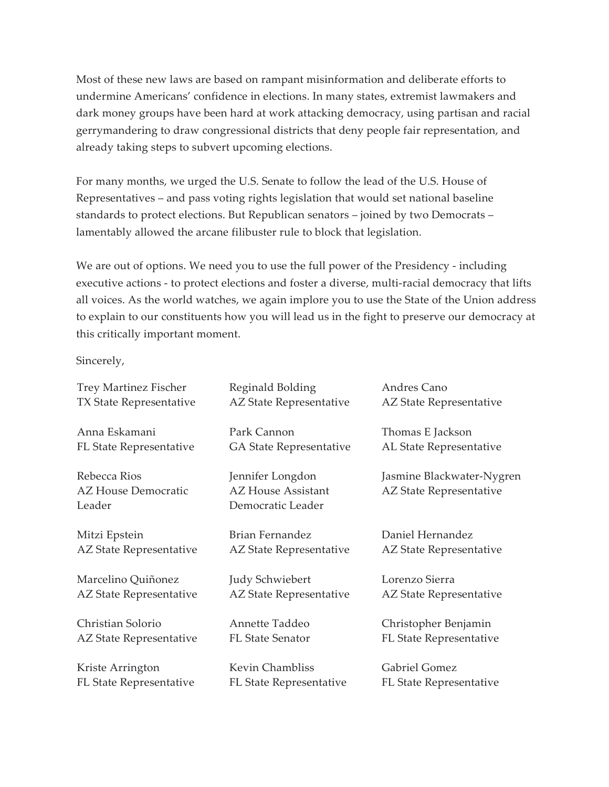Most of these new laws are based on rampant misinformation and deliberate efforts to undermine Americans' confidence in elections. In many states, extremist lawmakers and dark money groups have been hard at work attacking democracy, using partisan and racial gerrymandering to draw congressional districts that deny people fair representation, and already taking steps to subvert upcoming elections.

For many months, we urged the U.S. Senate to follow the lead of the U.S. House of Representatives – and pass voting rights legislation that would set national baseline standards to protect elections. But Republican senators – joined by two Democrats – lamentably allowed the arcane filibuster rule to block that legislation.

We are out of options. We need you to use the full power of the Presidency - including executive actions - to protect elections and foster a diverse, multi-racial democracy that lifts all voices. As the world watches, we again implore you to use the State of the Union address to explain to our constituents how you will lead us in the fight to preserve our democracy at this critically important moment.

Sincerely,

| <b>Trey Martinez Fischer</b> | Reginald Bolding          | Andres Cano               |
|------------------------------|---------------------------|---------------------------|
| TX State Representative      | AZ State Representative   | AZ State Representative   |
| Anna Eskamani                | Park Cannon               | Thomas E Jackson          |
| FL State Representative      | GA State Representative   | AL State Representative   |
| Rebecca Rios                 | Jennifer Longdon          | Jasmine Blackwater-Nygren |
| <b>AZ House Democratic</b>   | <b>AZ House Assistant</b> | AZ State Representative   |
| Leader                       | Democratic Leader         |                           |
| Mitzi Epstein                | Brian Fernandez           | Daniel Hernandez          |
| AZ State Representative      | AZ State Representative   | AZ State Representative   |
| Marcelino Quiñonez           | Judy Schwiebert           | Lorenzo Sierra            |
| AZ State Representative      | AZ State Representative   | AZ State Representative   |
| Christian Solorio            | Annette Taddeo            | Christopher Benjamin      |
| AZ State Representative      | <b>FL State Senator</b>   | FL State Representative   |
| Kriste Arrington             | <b>Kevin Chambliss</b>    | <b>Gabriel Gomez</b>      |
| FL State Representative      | FL State Representative   | FL State Representative   |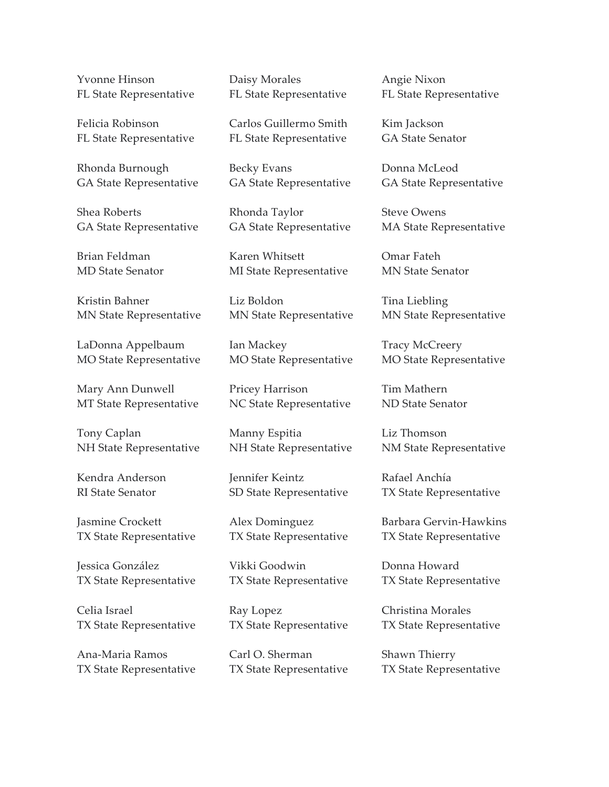Yvonne Hinson FL State Representative

Felicia Robinson FL State Representative

Rhonda Burnough GA State Representative

Shea Roberts GA State Representative

Brian Feldman MD State Senator

Kristin Bahner MN State Representative

LaDonna Appelbaum MO State Representative

Mary Ann Dunwell MT State Representative

Tony Caplan NH State Representative

Kendra Anderson RI State Senator

Jasmine Crockett TX State Representative

Jessica González TX State Representative

Celia Israel TX State Representative

Ana-Maria Ramos TX State Representative Daisy Morales FL State Representative

Carlos Guillermo Smith FL State Representative

Becky Evans GA State Representative

Rhonda Taylor GA State Representative

Karen Whitsett MI State Representative

Liz Boldon MN State Representative

Ian Mackey MO State Representative

Pricey Harrison NC State Representative

Manny Espitia NH State Representative

Jennifer Keintz SD State Representative

Alex Dominguez TX State Representative

Vikki Goodwin TX State Representative

Ray Lopez TX State Representative

Carl O. Sherman TX State Representative Angie Nixon FL State Representative

Kim Jackson GA State Senator

Donna McLeod GA State Representative

Steve Owens MA State Representative

Omar Fateh MN State Senator

Tina Liebling MN State Representative

Tracy McCreery MO State Representative

Tim Mathern ND State Senator

Liz Thomson NM State Representative

Rafael Anchía TX State Representative

Barbara Gervin-Hawkins TX State Representative

Donna Howard TX State Representative

Christina Morales TX State Representative

Shawn Thierry TX State Representative